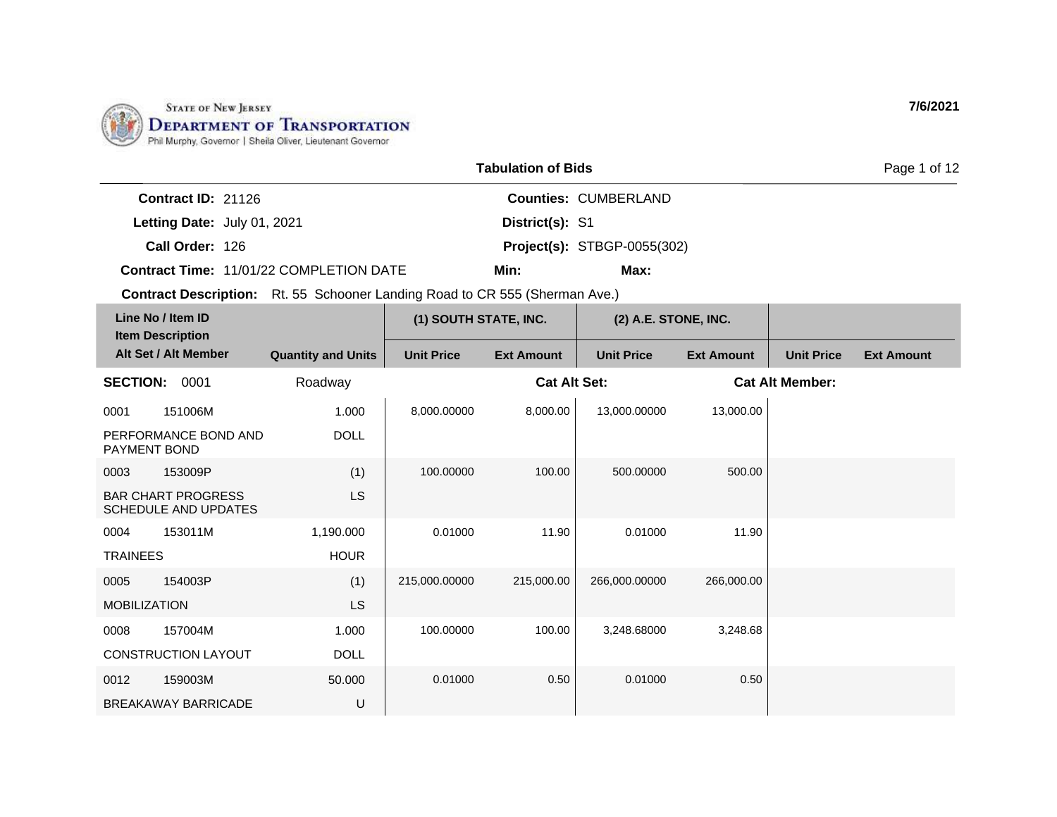

|                             |                                                | <b>Tabulation of Bids</b> |                                    | Page 1 of 12 |
|-----------------------------|------------------------------------------------|---------------------------|------------------------------------|--------------|
| Contract $ID: 21126$        |                                                |                           | <b>Counties: CUMBERLAND</b>        |              |
| Letting Date: July 01, 2021 |                                                | District(s): S1           |                                    |              |
| Call Order: 126             |                                                |                           | <b>Project(s): STBGP-0055(302)</b> |              |
|                             | <b>Contract Time: 11/01/22 COMPLETION DATE</b> | Min:                      | Max:                               |              |

|                     | Line No / Item ID<br><b>Item Description</b>             |                           | (1) SOUTH STATE, INC. |                     | (2) A.E. STONE, INC. |                   |                        |                   |
|---------------------|----------------------------------------------------------|---------------------------|-----------------------|---------------------|----------------------|-------------------|------------------------|-------------------|
|                     | Alt Set / Alt Member                                     | <b>Quantity and Units</b> | <b>Unit Price</b>     | <b>Ext Amount</b>   | <b>Unit Price</b>    | <b>Ext Amount</b> | <b>Unit Price</b>      | <b>Ext Amount</b> |
| <b>SECTION:</b>     | 0001                                                     | Roadway                   |                       | <b>Cat Alt Set:</b> |                      |                   | <b>Cat Alt Member:</b> |                   |
| 0001                | 151006M                                                  | 1.000                     | 8,000.00000           | 8,000.00            | 13,000.00000         | 13,000.00         |                        |                   |
| PAYMENT BOND        | PERFORMANCE BOND AND                                     | <b>DOLL</b>               |                       |                     |                      |                   |                        |                   |
| 0003                | 153009P                                                  | (1)                       | 100.00000             | 100.00              | 500.00000            | 500.00            |                        |                   |
|                     | <b>BAR CHART PROGRESS</b><br><b>SCHEDULE AND UPDATES</b> | LS                        |                       |                     |                      |                   |                        |                   |
| 0004                | 153011M                                                  | 1,190.000                 | 0.01000               | 11.90               | 0.01000              | 11.90             |                        |                   |
| <b>TRAINEES</b>     |                                                          | <b>HOUR</b>               |                       |                     |                      |                   |                        |                   |
| 0005                | 154003P                                                  | (1)                       | 215,000.00000         | 215,000.00          | 266,000.00000        | 266,000.00        |                        |                   |
| <b>MOBILIZATION</b> |                                                          | <b>LS</b>                 |                       |                     |                      |                   |                        |                   |
| 0008                | 157004M                                                  | 1.000                     | 100.00000             | 100.00              | 3,248.68000          | 3,248.68          |                        |                   |
|                     | CONSTRUCTION LAYOUT                                      | <b>DOLL</b>               |                       |                     |                      |                   |                        |                   |
| 0012                | 159003M                                                  | 50.000                    | 0.01000               | 0.50                | 0.01000              | 0.50              |                        |                   |
|                     | <b>BREAKAWAY BARRICADE</b>                               | U                         |                       |                     |                      |                   |                        |                   |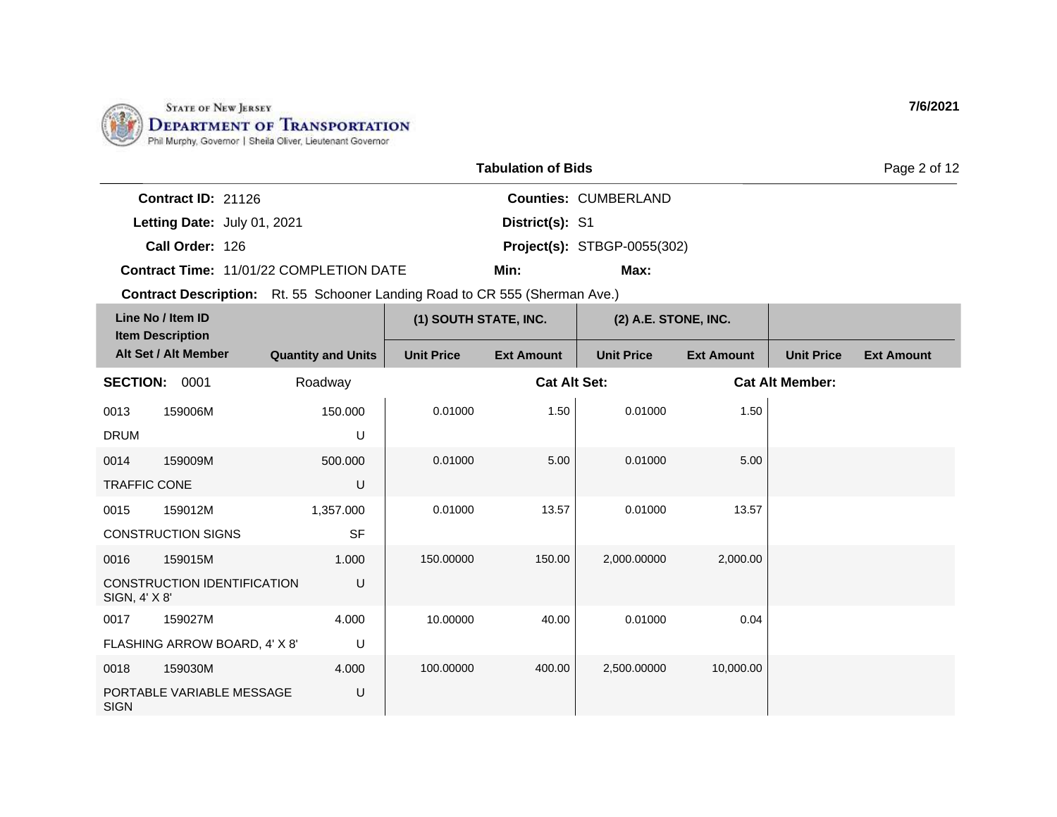

|                             |                                                | <b>Tabulation of Bids</b> |                                    | Page 2 of 12 |
|-----------------------------|------------------------------------------------|---------------------------|------------------------------------|--------------|
| Contract $ID: 21126$        |                                                |                           | <b>Counties: CUMBERLAND</b>        |              |
| Letting Date: July 01, 2021 |                                                | District(s): S1           |                                    |              |
| Call Order: 126             |                                                |                           | <b>Project(s): STBGP-0055(302)</b> |              |
|                             | <b>Contract Time: 11/01/22 COMPLETION DATE</b> | Min:                      | Max:                               |              |

|                     | Line No / Item ID<br><b>Item Description</b> |                           | (1) SOUTH STATE, INC. |                     | (2) A.E. STONE, INC. |                   |                        |                   |
|---------------------|----------------------------------------------|---------------------------|-----------------------|---------------------|----------------------|-------------------|------------------------|-------------------|
|                     | Alt Set / Alt Member                         | <b>Quantity and Units</b> | <b>Unit Price</b>     | <b>Ext Amount</b>   | <b>Unit Price</b>    | <b>Ext Amount</b> | <b>Unit Price</b>      | <b>Ext Amount</b> |
| <b>SECTION:</b>     | 0001                                         | Roadway                   |                       | <b>Cat Alt Set:</b> |                      |                   | <b>Cat Alt Member:</b> |                   |
| 0013                | 159006M                                      | 150.000                   | 0.01000               | 1.50                | 0.01000              | 1.50              |                        |                   |
| <b>DRUM</b>         |                                              | U                         |                       |                     |                      |                   |                        |                   |
| 0014                | 159009M                                      | 500.000                   | 0.01000               | 5.00                | 0.01000              | 5.00              |                        |                   |
| <b>TRAFFIC CONE</b> |                                              | U                         |                       |                     |                      |                   |                        |                   |
| 0015                | 159012M                                      | 1,357.000                 | 0.01000               | 13.57               | 0.01000              | 13.57             |                        |                   |
|                     | <b>CONSTRUCTION SIGNS</b>                    | <b>SF</b>                 |                       |                     |                      |                   |                        |                   |
| 0016                | 159015M                                      | 1.000                     | 150.00000             | 150.00              | 2,000.00000          | 2,000.00          |                        |                   |
| SIGN, 4' X 8'       | <b>CONSTRUCTION IDENTIFICATION</b>           | U                         |                       |                     |                      |                   |                        |                   |
| 0017                | 159027M                                      | 4.000                     | 10.00000              | 40.00               | 0.01000              | 0.04              |                        |                   |
|                     | FLASHING ARROW BOARD, 4' X 8'                | U                         |                       |                     |                      |                   |                        |                   |
| 0018                | 159030M                                      | 4.000                     | 100.00000             | 400.00              | 2,500.00000          | 10,000.00         |                        |                   |
| <b>SIGN</b>         | PORTABLE VARIABLE MESSAGE                    | U                         |                       |                     |                      |                   |                        |                   |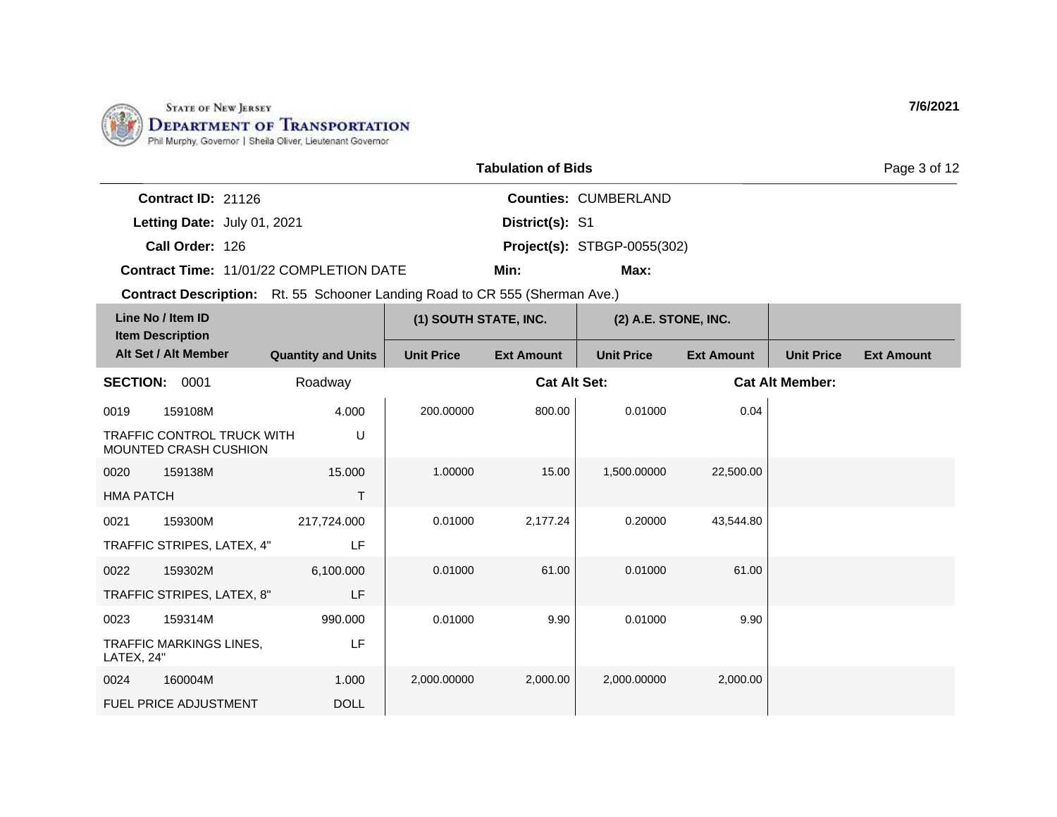

|                                                | <b>Tabulation of Bids</b> |                                    | Page 3 of 12 |  |  |
|------------------------------------------------|---------------------------|------------------------------------|--------------|--|--|
| Contract $ID: 21126$                           |                           | <b>Counties: CUMBERLAND</b>        |              |  |  |
| Letting Date: July 01, 2021                    | District(s): S1           |                                    |              |  |  |
| Call Order: 126                                |                           | <b>Project(s): STBGP-0055(302)</b> |              |  |  |
| <b>Contract Time: 11/01/22 COMPLETION DATE</b> | Min:                      | Max:                               |              |  |  |

| Line No / Item ID<br><b>Item Description</b> |                                                            | (1) SOUTH STATE, INC.     |                   | (2) A.E. STONE, INC. |                   |                   |                        |                   |
|----------------------------------------------|------------------------------------------------------------|---------------------------|-------------------|----------------------|-------------------|-------------------|------------------------|-------------------|
|                                              | Alt Set / Alt Member                                       | <b>Quantity and Units</b> | <b>Unit Price</b> | <b>Ext Amount</b>    | <b>Unit Price</b> | <b>Ext Amount</b> | <b>Unit Price</b>      | <b>Ext Amount</b> |
| <b>SECTION:</b>                              | 0001                                                       | Roadway                   |                   | <b>Cat Alt Set:</b>  |                   |                   | <b>Cat Alt Member:</b> |                   |
| 0019                                         | 159108M                                                    | 4.000                     | 200.00000         | 800.00               | 0.01000           | 0.04              |                        |                   |
|                                              | <b>TRAFFIC CONTROL TRUCK WITH</b><br>MOUNTED CRASH CUSHION | U                         |                   |                      |                   |                   |                        |                   |
| 0020                                         | 159138M                                                    | 15.000                    | 1.00000           | 15.00                | 1,500.00000       | 22,500.00         |                        |                   |
| <b>HMA PATCH</b>                             |                                                            | T                         |                   |                      |                   |                   |                        |                   |
| 0021                                         | 159300M                                                    | 217,724.000               | 0.01000           | 2,177.24             | 0.20000           | 43,544.80         |                        |                   |
|                                              | TRAFFIC STRIPES, LATEX, 4"                                 | LF                        |                   |                      |                   |                   |                        |                   |
| 0022                                         | 159302M                                                    | 6,100.000                 | 0.01000           | 61.00                | 0.01000           | 61.00             |                        |                   |
|                                              | TRAFFIC STRIPES, LATEX, 8"                                 | LF                        |                   |                      |                   |                   |                        |                   |
| 0023                                         | 159314M                                                    | 990.000                   | 0.01000           | 9.90                 | 0.01000           | 9.90              |                        |                   |
| LATEX, 24"                                   | <b>TRAFFIC MARKINGS LINES,</b>                             | LF                        |                   |                      |                   |                   |                        |                   |
| 0024                                         | 160004M                                                    | 1.000                     | 2,000.00000       | 2,000.00             | 2,000.00000       | 2,000.00          |                        |                   |
|                                              | <b>FUEL PRICE ADJUSTMENT</b>                               | <b>DOLL</b>               |                   |                      |                   |                   |                        |                   |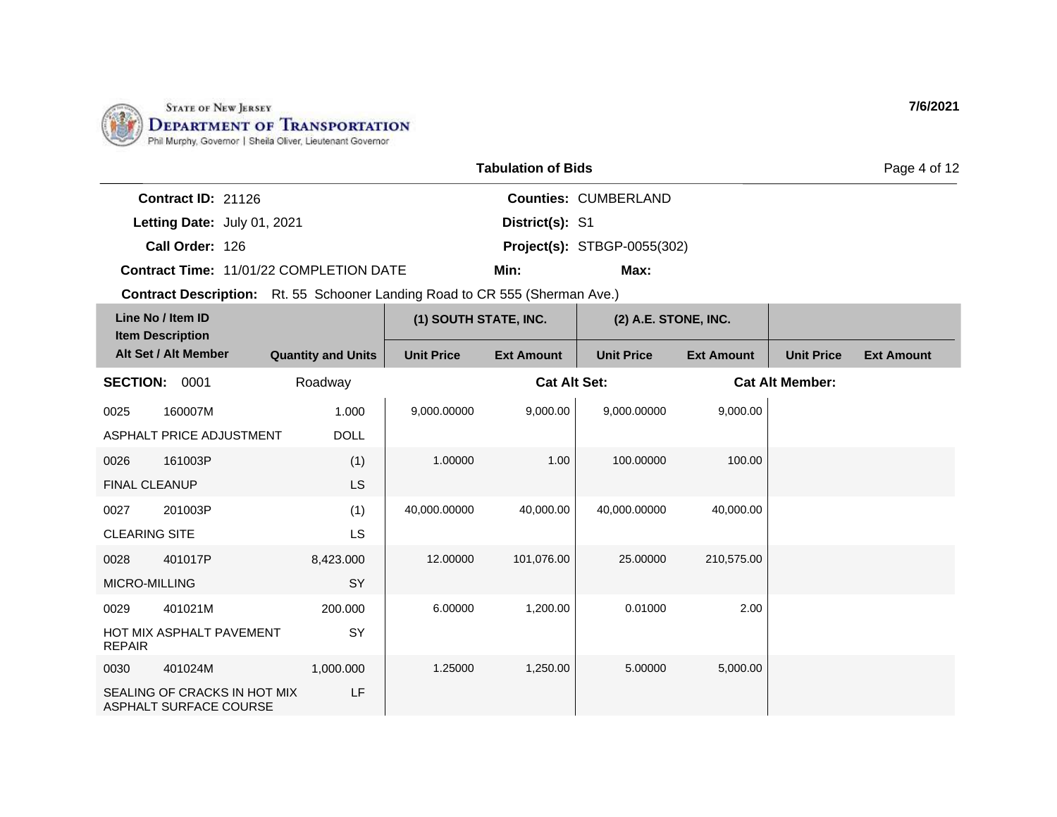

|                                                | <b>Tabulation of Bids</b>          | Page 4 of 12 |
|------------------------------------------------|------------------------------------|--------------|
| <b>Contract ID:</b> $21126$                    | <b>Counties: CUMBERLAND</b>        |              |
| Letting Date: July 01, 2021                    | District(s): S1                    |              |
| Call Order: 126                                | <b>Project(s): STBGP-0055(302)</b> |              |
| <b>Contract Time: 11/01/22 COMPLETION DATE</b> | Min:<br>Max:                       |              |

| Line No / Item ID<br><b>Item Description</b> |                                                        |                           | (1) SOUTH STATE, INC. |                     | (2) A.E. STONE, INC. |                   |                        |                   |
|----------------------------------------------|--------------------------------------------------------|---------------------------|-----------------------|---------------------|----------------------|-------------------|------------------------|-------------------|
|                                              | Alt Set / Alt Member                                   | <b>Quantity and Units</b> | <b>Unit Price</b>     | <b>Ext Amount</b>   | <b>Unit Price</b>    | <b>Ext Amount</b> | <b>Unit Price</b>      | <b>Ext Amount</b> |
| <b>SECTION:</b>                              | 0001                                                   | Roadway                   |                       | <b>Cat Alt Set:</b> |                      |                   | <b>Cat Alt Member:</b> |                   |
| 0025                                         | 160007M                                                | 1.000                     | 9,000.00000           | 9,000.00            | 9,000.00000          | 9,000.00          |                        |                   |
|                                              | ASPHALT PRICE ADJUSTMENT                               | <b>DOLL</b>               |                       |                     |                      |                   |                        |                   |
| 0026                                         | 161003P                                                | (1)                       | 1.00000               | 1.00                | 100.00000            | 100.00            |                        |                   |
| <b>FINAL CLEANUP</b>                         |                                                        | <b>LS</b>                 |                       |                     |                      |                   |                        |                   |
| 0027                                         | 201003P                                                | (1)                       | 40,000.00000          | 40,000.00           | 40,000.00000         | 40,000.00         |                        |                   |
| <b>CLEARING SITE</b>                         |                                                        | LS                        |                       |                     |                      |                   |                        |                   |
| 0028                                         | 401017P                                                | 8,423.000                 | 12.00000              | 101,076.00          | 25.00000             | 210,575.00        |                        |                   |
| MICRO-MILLING                                |                                                        | SY                        |                       |                     |                      |                   |                        |                   |
| 0029                                         | 401021M                                                | 200.000                   | 6.00000               | 1,200.00            | 0.01000              | 2.00              |                        |                   |
| <b>REPAIR</b>                                | <b>HOT MIX ASPHALT PAVEMENT</b>                        | SY                        |                       |                     |                      |                   |                        |                   |
| 0030                                         | 401024M                                                | 1,000.000                 | 1.25000               | 1,250.00            | 5.00000              | 5,000.00          |                        |                   |
|                                              | SEALING OF CRACKS IN HOT MIX<br>ASPHALT SURFACE COURSE | LF                        |                       |                     |                      |                   |                        |                   |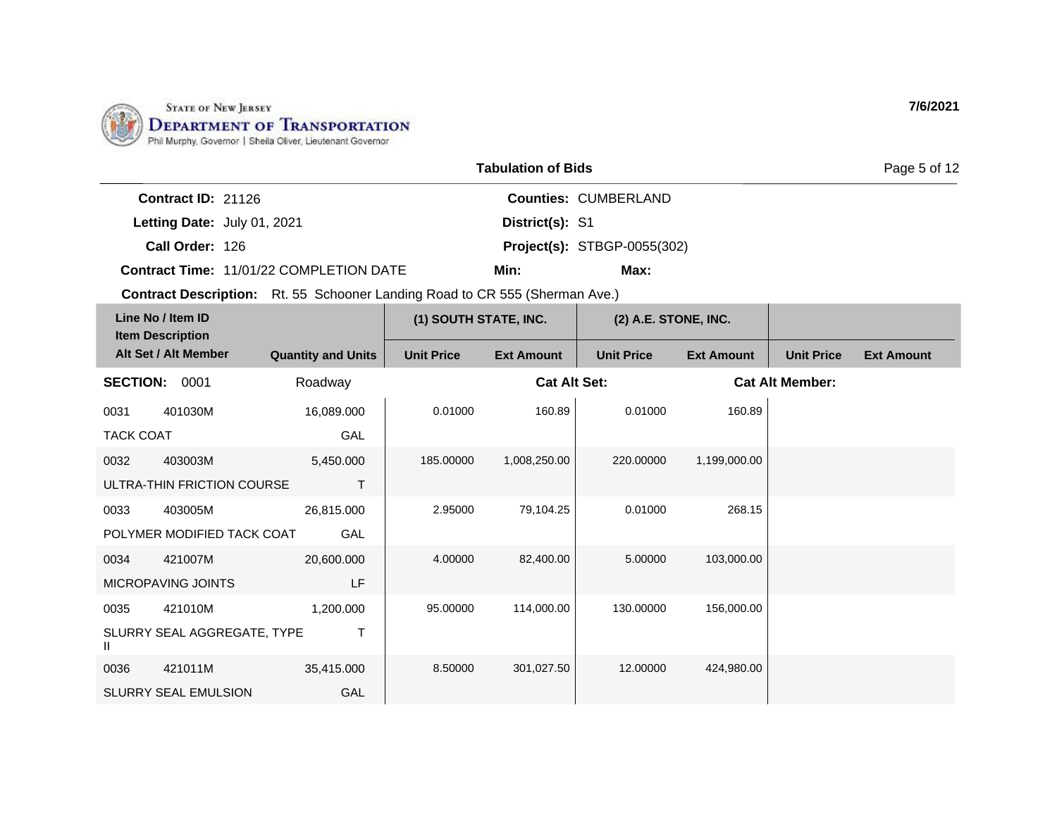

|                           |                                                | <b>Tabulation of Bids</b> |                                    |
|---------------------------|------------------------------------------------|---------------------------|------------------------------------|
| <b>Contract ID: 21126</b> |                                                |                           | <b>Counties: CUMBERLAND</b>        |
|                           | Letting Date: July 01, 2021                    | District(s): S1           |                                    |
| Call Order: 126           |                                                |                           | <b>Project(s): STBGP-0055(302)</b> |
|                           | <b>Contract Time: 11/01/22 COMPLETION DATE</b> | Min:                      | Max:                               |

| Line No / Item ID<br><b>Item Description</b> |                             |                           | (1) SOUTH STATE, INC. |                     | (2) A.E. STONE, INC. |                        |                   |                   |
|----------------------------------------------|-----------------------------|---------------------------|-----------------------|---------------------|----------------------|------------------------|-------------------|-------------------|
|                                              | Alt Set / Alt Member        | <b>Quantity and Units</b> | <b>Unit Price</b>     | <b>Ext Amount</b>   | <b>Unit Price</b>    | <b>Ext Amount</b>      | <b>Unit Price</b> | <b>Ext Amount</b> |
| <b>SECTION:</b>                              | 0001                        | Roadway                   |                       | <b>Cat Alt Set:</b> |                      | <b>Cat Alt Member:</b> |                   |                   |
| 0031                                         | 401030M                     | 16,089.000                | 0.01000               | 160.89              | 0.01000              | 160.89                 |                   |                   |
| <b>TACK COAT</b>                             |                             | GAL                       |                       |                     |                      |                        |                   |                   |
| 0032                                         | 403003M                     | 5,450.000                 | 185.00000             | 1,008,250.00        | 220.00000            | 1,199,000.00           |                   |                   |
|                                              | ULTRA-THIN FRICTION COURSE  | т                         |                       |                     |                      |                        |                   |                   |
| 0033                                         | 403005M                     | 26,815.000                | 2.95000               | 79,104.25           | 0.01000              | 268.15                 |                   |                   |
|                                              | POLYMER MODIFIED TACK COAT  | GAL                       |                       |                     |                      |                        |                   |                   |
| 0034                                         | 421007M                     | 20,600.000                | 4.00000               | 82,400.00           | 5.00000              | 103,000.00             |                   |                   |
|                                              | MICROPAVING JOINTS          | LF                        |                       |                     |                      |                        |                   |                   |
| 0035                                         | 421010M                     | 1,200.000                 | 95.00000              | 114,000.00          | 130.00000            | 156,000.00             |                   |                   |
| Ш                                            | SLURRY SEAL AGGREGATE, TYPE | Τ                         |                       |                     |                      |                        |                   |                   |
| 0036                                         | 421011M                     | 35,415.000                | 8.50000               | 301,027.50          | 12.00000             | 424,980.00             |                   |                   |
|                                              | <b>SLURRY SEAL EMULSION</b> | GAL                       |                       |                     |                      |                        |                   |                   |

**7/6/2021**

Page 5 of 12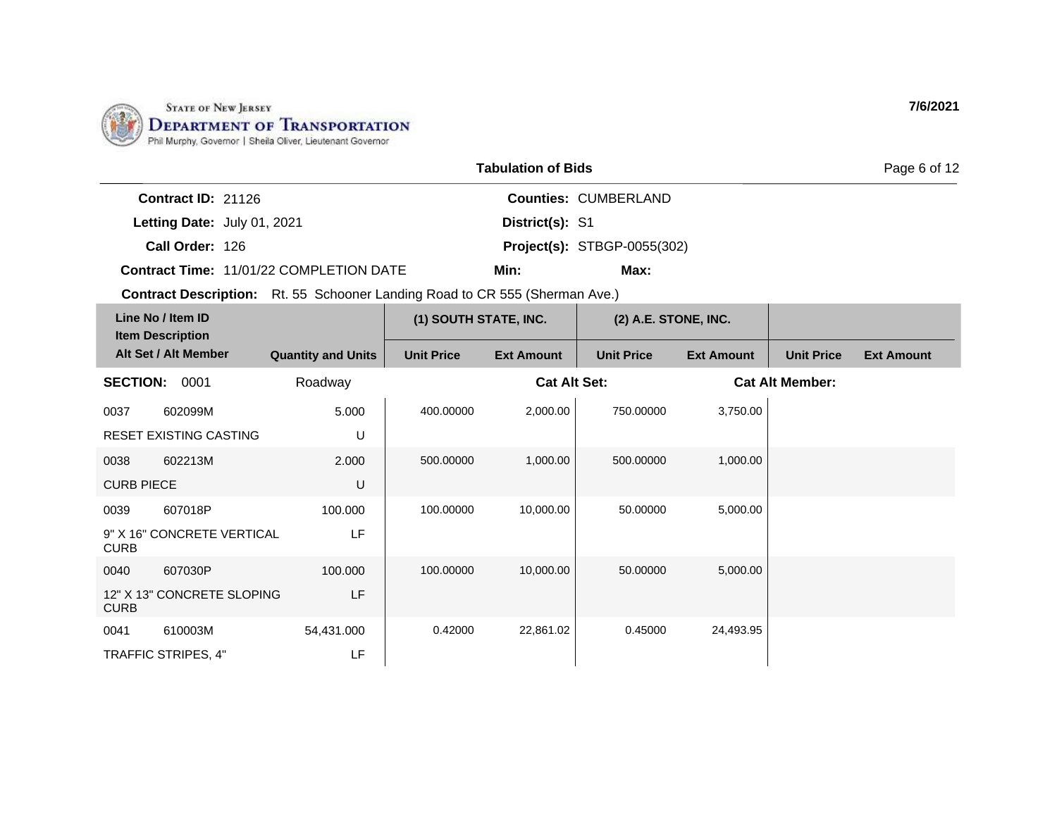

|                                                | <b>Tabulation of Bids</b> |                                    |  |  |  |
|------------------------------------------------|---------------------------|------------------------------------|--|--|--|
| <b>Contract ID:</b> $21126$                    |                           | <b>Counties: CUMBERLAND</b>        |  |  |  |
| Letting Date: July 01, 2021                    | District(s): S1           |                                    |  |  |  |
| Call Order: 126                                |                           | <b>Project(s): STBGP-0055(302)</b> |  |  |  |
| <b>Contract Time: 11/01/22 COMPLETION DATE</b> | Min:                      | Max:                               |  |  |  |

| Line No / Item ID<br><b>Item Description</b> |                            |                           | (1) SOUTH STATE, INC. |                     | (2) A.E. STONE, INC. |                   |                        |                   |
|----------------------------------------------|----------------------------|---------------------------|-----------------------|---------------------|----------------------|-------------------|------------------------|-------------------|
|                                              | Alt Set / Alt Member       | <b>Quantity and Units</b> | <b>Unit Price</b>     | <b>Ext Amount</b>   | <b>Unit Price</b>    | <b>Ext Amount</b> | <b>Unit Price</b>      | <b>Ext Amount</b> |
| <b>SECTION:</b>                              | 0001                       | Roadway                   |                       | <b>Cat Alt Set:</b> |                      |                   | <b>Cat Alt Member:</b> |                   |
| 0037                                         | 602099M                    | 5.000                     | 400.00000             | 2,000.00            | 750.00000            | 3,750.00          |                        |                   |
|                                              | RESET EXISTING CASTING     | U                         |                       |                     |                      |                   |                        |                   |
| 0038                                         | 602213M                    | 2.000                     | 500.00000             | 1,000.00            | 500.00000            | 1,000.00          |                        |                   |
| <b>CURB PIECE</b>                            |                            | U                         |                       |                     |                      |                   |                        |                   |
| 0039                                         | 607018P                    | 100.000                   | 100.00000             | 10,000.00           | 50.00000             | 5,000.00          |                        |                   |
| <b>CURB</b>                                  | 9" X 16" CONCRETE VERTICAL | LF                        |                       |                     |                      |                   |                        |                   |
| 0040                                         | 607030P                    | 100.000                   | 100.00000             | 10,000.00           | 50,00000             | 5,000.00          |                        |                   |
| <b>CURB</b>                                  | 12" X 13" CONCRETE SLOPING | LF                        |                       |                     |                      |                   |                        |                   |
| 0041                                         | 610003M                    | 54,431.000                | 0.42000               | 22,861.02           | 0.45000              | 24,493.95         |                        |                   |
|                                              | TRAFFIC STRIPES, 4"        | LF                        |                       |                     |                      |                   |                        |                   |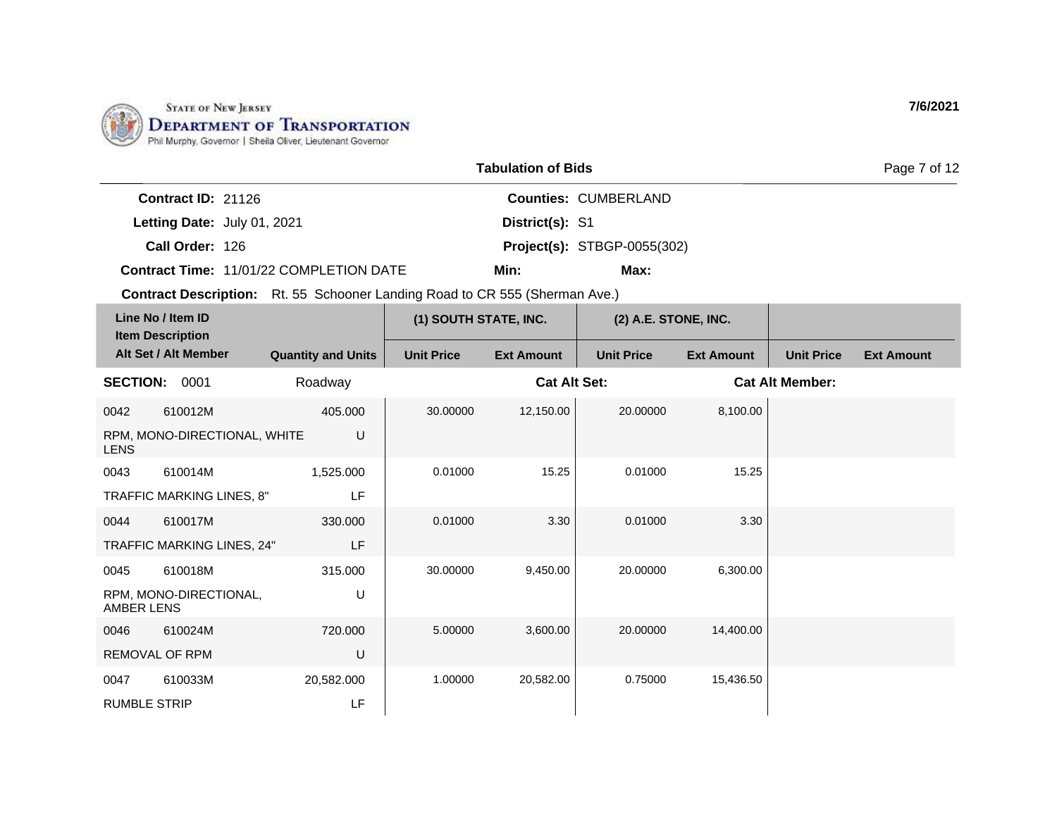

|                             |                                                | <b>Tabulation of Bids</b> |                                    | Page 7 of 12 |
|-----------------------------|------------------------------------------------|---------------------------|------------------------------------|--------------|
| Contract $ID: 21126$        |                                                |                           | <b>Counties: CUMBERLAND</b>        |              |
| Letting Date: July 01, 2021 |                                                | District(s): S1           |                                    |              |
| Call Order: 126             |                                                |                           | <b>Project(s): STBGP-0055(302)</b> |              |
|                             | <b>Contract Time: 11/01/22 COMPLETION DATE</b> | Min:                      | Max:                               |              |

| Line No / Item ID<br><b>Item Description</b> |                              | (1) SOUTH STATE, INC.     |                   | (2) A.E. STONE, INC. |                   |                   |                        |                   |
|----------------------------------------------|------------------------------|---------------------------|-------------------|----------------------|-------------------|-------------------|------------------------|-------------------|
|                                              | Alt Set / Alt Member         | <b>Quantity and Units</b> | <b>Unit Price</b> | <b>Ext Amount</b>    | <b>Unit Price</b> | <b>Ext Amount</b> | <b>Unit Price</b>      | <b>Ext Amount</b> |
| <b>SECTION:</b>                              | 0001                         | Roadway                   |                   | <b>Cat Alt Set:</b>  |                   |                   | <b>Cat Alt Member:</b> |                   |
| 0042                                         | 610012M                      | 405.000                   | 30.00000          | 12,150.00            | 20.00000          | 8,100.00          |                        |                   |
| <b>LENS</b>                                  | RPM, MONO-DIRECTIONAL, WHITE | U                         |                   |                      |                   |                   |                        |                   |
| 0043                                         | 610014M                      | 1,525.000                 | 0.01000           | 15.25                | 0.01000           | 15.25             |                        |                   |
|                                              | TRAFFIC MARKING LINES, 8"    | LF                        |                   |                      |                   |                   |                        |                   |
| 0044                                         | 610017M                      | 330,000                   | 0.01000           | 3.30                 | 0.01000           | 3.30              |                        |                   |
|                                              | TRAFFIC MARKING LINES, 24"   | LF                        |                   |                      |                   |                   |                        |                   |
| 0045                                         | 610018M                      | 315,000                   | 30.00000          | 9,450.00             | 20.00000          | 6,300.00          |                        |                   |
| <b>AMBER LENS</b>                            | RPM, MONO-DIRECTIONAL,       | U                         |                   |                      |                   |                   |                        |                   |
| 0046                                         | 610024M                      | 720,000                   | 5.00000           | 3,600.00             | 20.00000          | 14,400.00         |                        |                   |
| <b>REMOVAL OF RPM</b>                        |                              | U                         |                   |                      |                   |                   |                        |                   |
| 0047                                         | 610033M                      | 20,582.000                | 1.00000           | 20,582.00            | 0.75000           | 15,436.50         |                        |                   |
| <b>RUMBLE STRIP</b>                          |                              | LF                        |                   |                      |                   |                   |                        |                   |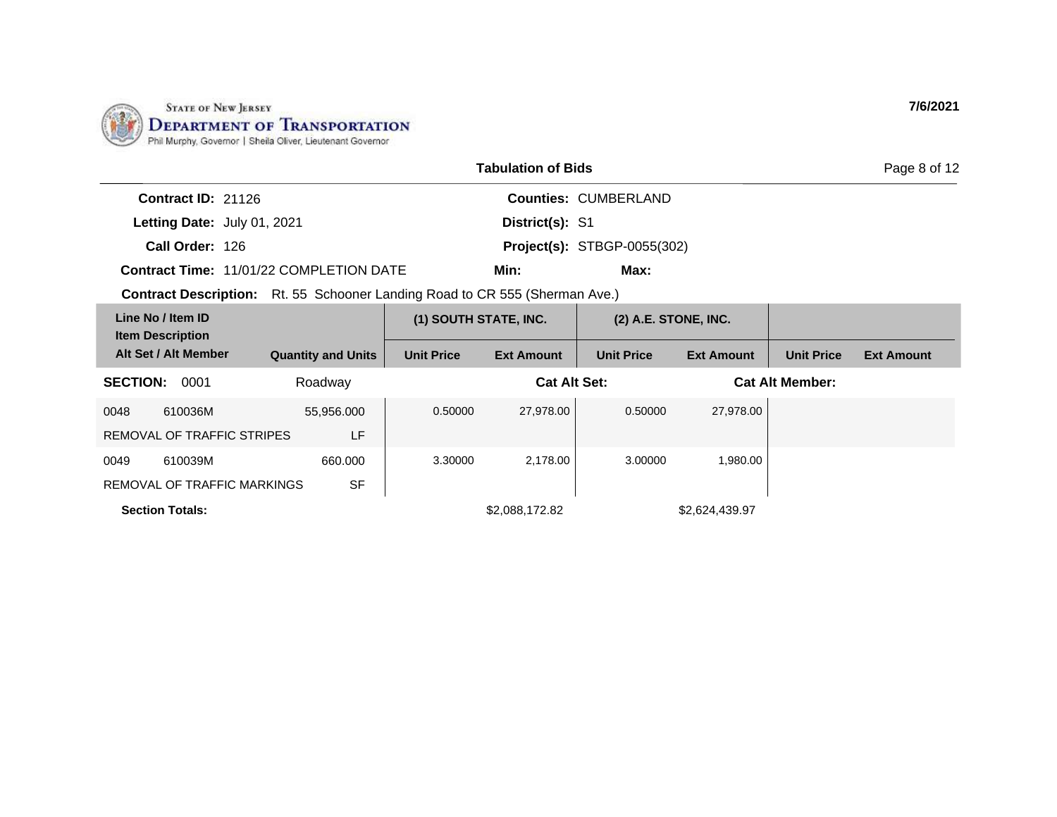

|                                                   |                                                       | Page 8 of 12          |                      |                        |                   |                   |
|---------------------------------------------------|-------------------------------------------------------|-----------------------|----------------------|------------------------|-------------------|-------------------|
| Contract ID: 21126                                |                                                       |                       | Counties: CUMBERLAND |                        |                   |                   |
| Letting Date: July 01, 2021                       |                                                       | District(s): S1       |                      |                        |                   |                   |
| Call Order: 126                                   | <b>Project(s): STBGP-0055(302)</b>                    |                       |                      |                        |                   |                   |
| <b>Contract Time: 11/01/22 COMPLETION DATE</b>    |                                                       | Min:                  | Max:                 |                        |                   |                   |
| <b>Contract Description:</b>                      | Rt. 55 Schooner Landing Road to CR 555 (Sherman Ave.) |                       |                      |                        |                   |                   |
| Line No / Item ID<br><b>Item Description</b>      |                                                       | (1) SOUTH STATE, INC. |                      | $(2)$ A.E. STONE, INC. |                   |                   |
| Alt Set / Alt Member<br><b>Quantity and Units</b> | <b>Unit Price</b>                                     | <b>Ext Amount</b>     | <b>Unit Price</b>    | <b>Ext Amount</b>      | <b>Unit Price</b> | <b>Ext Amount</b> |

| <b>SECTION:</b> | 0001                        | Roadway    |         | <b>Cat Alt Set:</b> |         |                | <b>Cat Alt Member:</b> |  |
|-----------------|-----------------------------|------------|---------|---------------------|---------|----------------|------------------------|--|
| 0048            | 610036M                     | 55,956.000 | 0.50000 | 27,978.00           | 0.50000 | 27,978.00      |                        |  |
|                 | REMOVAL OF TRAFFIC STRIPES  | LF         |         |                     |         |                |                        |  |
| 0049            | 610039M                     | 660,000    | 3.30000 | 2,178.00            | 3.00000 | 1,980.00       |                        |  |
|                 | REMOVAL OF TRAFFIC MARKINGS | <b>SF</b>  |         |                     |         |                |                        |  |
|                 | <b>Section Totals:</b>      |            |         | \$2,088,172.82      |         | \$2,624,439.97 |                        |  |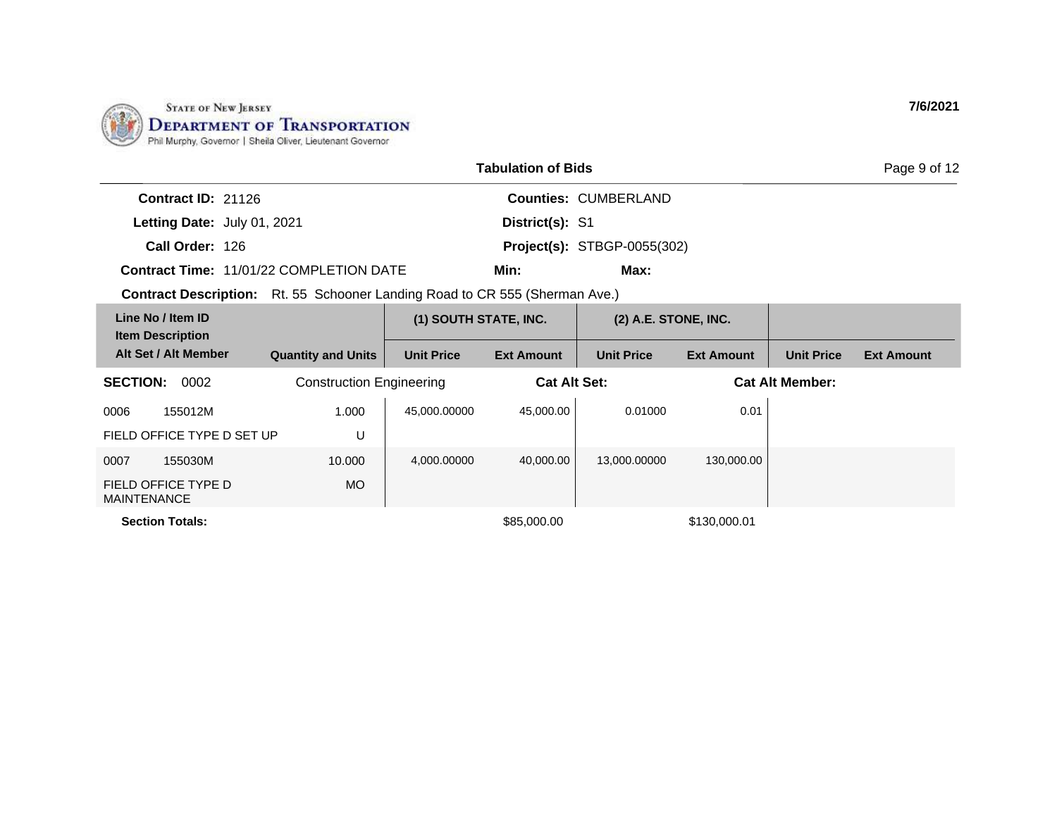

|                                                                                    |                                 |                       | <b>Tabulation of Bids</b> |                                    |                        |                   | Page 9 of 12      |
|------------------------------------------------------------------------------------|---------------------------------|-----------------------|---------------------------|------------------------------------|------------------------|-------------------|-------------------|
| <b>Contract ID: 21126</b>                                                          |                                 |                       |                           | <b>Counties: CUMBERLAND</b>        |                        |                   |                   |
| Letting Date: July 01, 2021                                                        |                                 |                       | District(s): S1           |                                    |                        |                   |                   |
| Call Order: 126                                                                    |                                 |                       |                           | <b>Project(s): STBGP-0055(302)</b> |                        |                   |                   |
| Contract Time: 11/01/22 COMPLETION DATE                                            |                                 |                       | Min:                      | Max:                               |                        |                   |                   |
| <b>Contract Description:</b> Rt. 55 Schooner Landing Road to CR 555 (Sherman Ave.) |                                 |                       |                           |                                    |                        |                   |                   |
| Line No / Item ID<br><b>Item Description</b>                                       |                                 | (1) SOUTH STATE, INC. |                           | (2) A.E. STONE, INC.               |                        |                   |                   |
| Alt Set / Alt Member                                                               | <b>Quantity and Units</b>       | <b>Unit Price</b>     | <b>Ext Amount</b>         | <b>Unit Price</b>                  | <b>Ext Amount</b>      | <b>Unit Price</b> | <b>Ext Amount</b> |
| 0002<br><b>SECTION:</b>                                                            | <b>Construction Engineering</b> |                       | <b>Cat Alt Set:</b>       |                                    | <b>Cat Alt Member:</b> |                   |                   |
| 155012M<br>0006                                                                    | 1.000                           | 45,000.00000          | 45,000.00                 | 0.01000                            | 0.01                   |                   |                   |
| FIELD OFFICE TYPE D SET UP                                                         | U                               |                       |                           |                                    |                        |                   |                   |
| 0007<br>155030M                                                                    | 10.000                          | 4,000.00000           | 40,000.00                 | 13,000.00000                       | 130,000.00             |                   |                   |
| FIELD OFFICE TYPE D<br><b>MAINTENANCE</b>                                          | MO.                             |                       |                           |                                    |                        |                   |                   |
| <b>Section Totals:</b>                                                             |                                 |                       | \$85,000.00               |                                    | \$130,000.01           |                   |                   |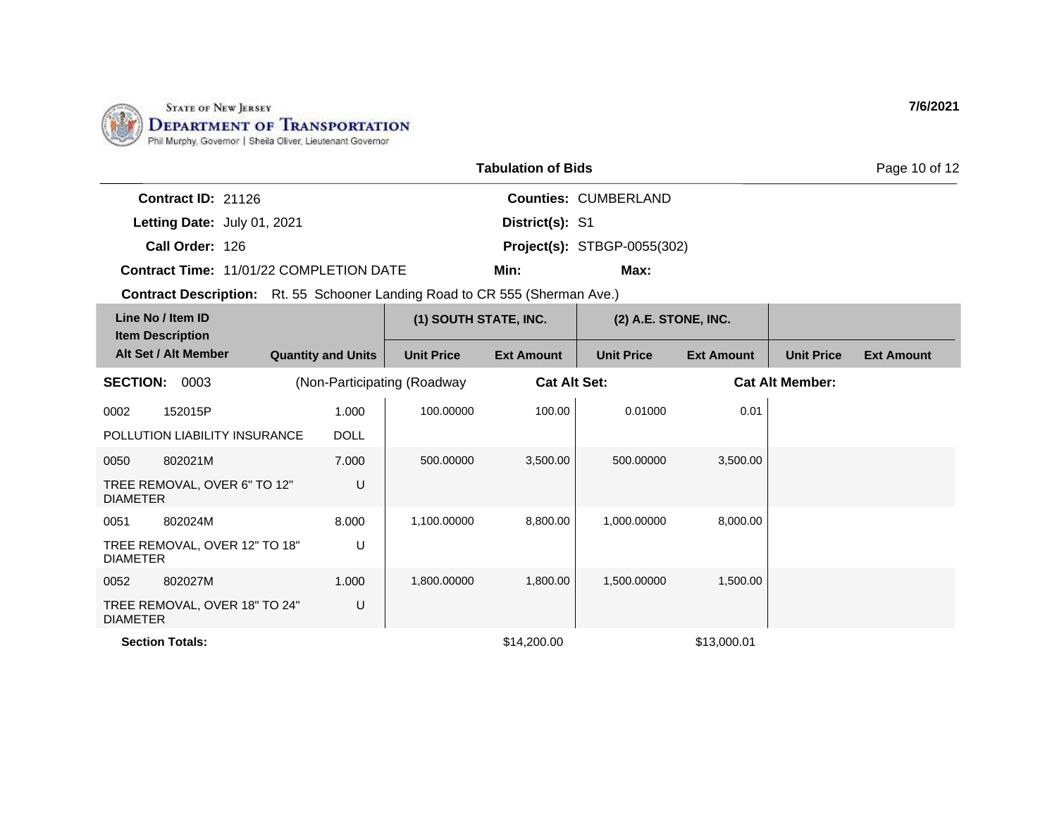

|                                                | <b>Tabulation of Bids</b> |                                    | Page 10 of 12 |
|------------------------------------------------|---------------------------|------------------------------------|---------------|
| Contract $ID: 21126$                           |                           | <b>Counties: CUMBERLAND</b>        |               |
| Letting Date: July 01, 2021                    | District(s): S1           |                                    |               |
| Call Order: 126                                |                           | <b>Project(s): STBGP-0055(302)</b> |               |
| <b>Contract Time: 11/01/22 COMPLETION DATE</b> | Min:                      | Max:                               |               |

| Line No / Item ID<br><b>Item Description</b>     |                             | (1) SOUTH STATE, INC. |                     | $(2)$ A.E. STONE, INC. |                   |                        |                   |
|--------------------------------------------------|-----------------------------|-----------------------|---------------------|------------------------|-------------------|------------------------|-------------------|
| Alt Set / Alt Member                             | <b>Quantity and Units</b>   | <b>Unit Price</b>     | <b>Ext Amount</b>   | <b>Unit Price</b>      | <b>Ext Amount</b> | <b>Unit Price</b>      | <b>Ext Amount</b> |
| <b>SECTION:</b><br>0003                          | (Non-Participating (Roadway |                       | <b>Cat Alt Set:</b> |                        |                   | <b>Cat Alt Member:</b> |                   |
| 152015P<br>0002                                  | 1.000                       | 100.00000             | 100.00              | 0.01000                | 0.01              |                        |                   |
| POLLUTION LIABILITY INSURANCE                    | <b>DOLL</b>                 |                       |                     |                        |                   |                        |                   |
| 802021M<br>0050                                  | 7.000                       | 500.00000             | 3,500.00            | 500.00000              | 3,500.00          |                        |                   |
| TREE REMOVAL, OVER 6" TO 12"<br><b>DIAMETER</b>  | U                           |                       |                     |                        |                   |                        |                   |
| 802024M<br>0051                                  | 8.000                       | 1,100.00000           | 8,800.00            | 1,000.00000            | 8,000.00          |                        |                   |
| TREE REMOVAL, OVER 12" TO 18"<br><b>DIAMETER</b> | U                           |                       |                     |                        |                   |                        |                   |
| 0052<br>802027M                                  | 1.000                       | 1,800.00000           | 1,800.00            | 1,500.00000            | 1,500.00          |                        |                   |
| TREE REMOVAL, OVER 18" TO 24"<br><b>DIAMETER</b> | U                           |                       |                     |                        |                   |                        |                   |
| <b>Section Totals:</b>                           |                             |                       | \$14,200.00         |                        | \$13,000.01       |                        |                   |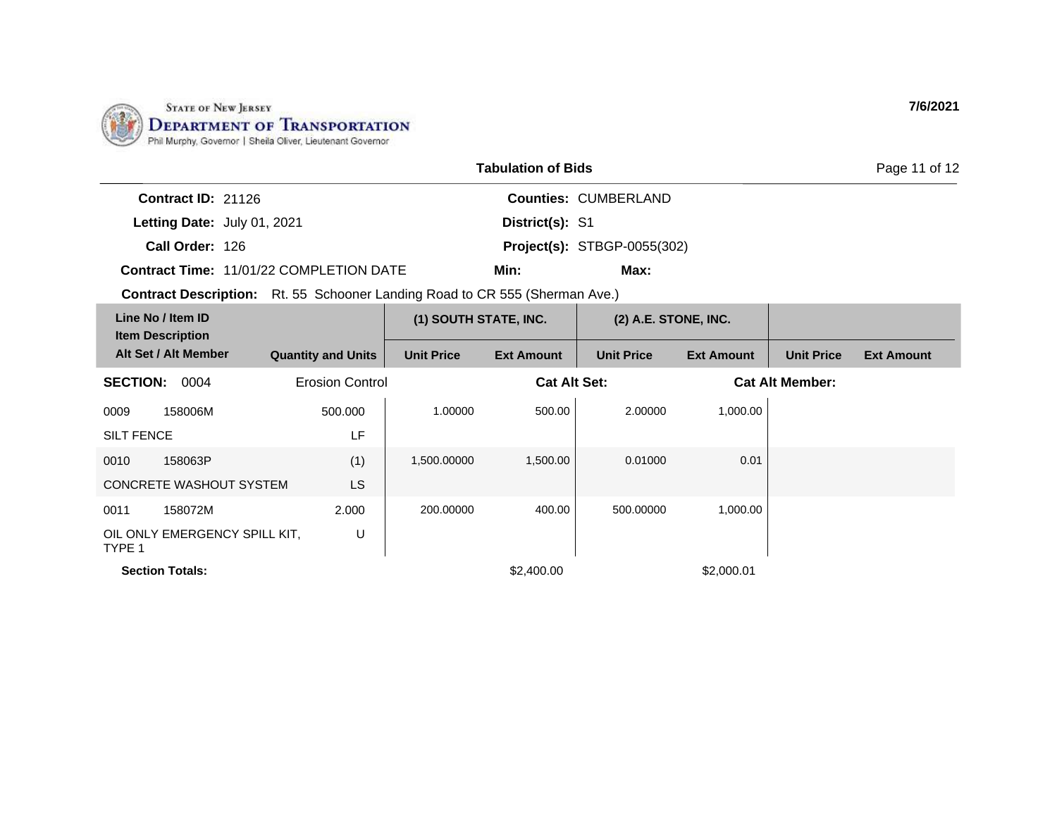

|                                                | <b>Tabulation of Bids</b> |                                    | Page 11 of 12 |  |  |
|------------------------------------------------|---------------------------|------------------------------------|---------------|--|--|
| Contract ID: 21126                             |                           | <b>Counties: CUMBERLAND</b>        |               |  |  |
| Letting Date: July 01, 2021                    | District(s): S1           |                                    |               |  |  |
| Call Order: 126                                |                           | <b>Project(s): STBGP-0055(302)</b> |               |  |  |
| <b>Contract Time: 11/01/22 COMPLETION DATE</b> | Min:                      | Max:                               |               |  |  |

| Line No / Item ID<br><b>Item Description</b>      |                           | (1) SOUTH STATE, INC. |                     | $(2)$ A.E. STONE, INC. |                   |                        |                   |
|---------------------------------------------------|---------------------------|-----------------------|---------------------|------------------------|-------------------|------------------------|-------------------|
| Alt Set / Alt Member                              | <b>Quantity and Units</b> | <b>Unit Price</b>     | <b>Ext Amount</b>   | <b>Unit Price</b>      | <b>Ext Amount</b> | <b>Unit Price</b>      | <b>Ext Amount</b> |
| 0004<br><b>SECTION:</b><br><b>Erosion Control</b> |                           |                       | <b>Cat Alt Set:</b> |                        |                   | <b>Cat Alt Member:</b> |                   |
| 0009<br>158006M                                   | 500.000                   | 1.00000               | 500.00              | 2.00000                | 1,000.00          |                        |                   |
| <b>SILT FENCE</b>                                 | LF                        |                       |                     |                        |                   |                        |                   |
| 0010<br>158063P                                   | (1)                       | 1,500.00000           | 1,500.00            | 0.01000                | 0.01              |                        |                   |
| <b>CONCRETE WASHOUT SYSTEM</b>                    | <b>LS</b>                 |                       |                     |                        |                   |                        |                   |
| 158072M<br>0011                                   | 2.000                     | 200.00000             | 400.00              | 500.00000              | 1,000.00          |                        |                   |
| OIL ONLY EMERGENCY SPILL KIT,<br>TYPE 1           | U                         |                       |                     |                        |                   |                        |                   |
| <b>Section Totals:</b>                            |                           |                       | \$2,400.00          |                        | \$2,000.01        |                        |                   |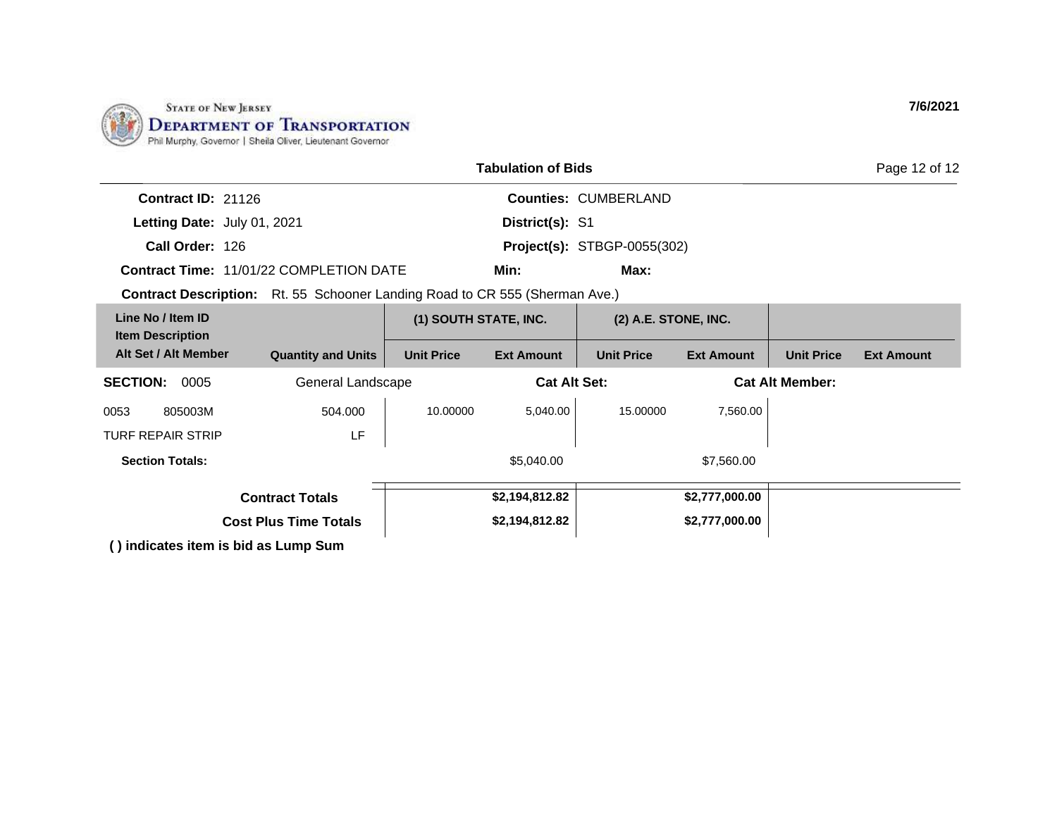

| <b>Tabulation of Bids</b>                                                          |                              |                       |                   |                                    |                   |                        | Page 12 of 12     |
|------------------------------------------------------------------------------------|------------------------------|-----------------------|-------------------|------------------------------------|-------------------|------------------------|-------------------|
| Contract ID: 21126                                                                 |                              |                       |                   | <b>Counties: CUMBERLAND</b>        |                   |                        |                   |
| Letting Date: July 01, 2021                                                        |                              |                       | District(s): S1   |                                    |                   |                        |                   |
| Call Order: 126                                                                    |                              |                       |                   | <b>Project(s): STBGP-0055(302)</b> |                   |                        |                   |
| <b>Contract Time: 11/01/22 COMPLETION DATE</b>                                     |                              |                       | Min:              | Max:                               |                   |                        |                   |
| <b>Contract Description:</b> Rt. 55 Schooner Landing Road to CR 555 (Sherman Ave.) |                              |                       |                   |                                    |                   |                        |                   |
| Line No / Item ID<br><b>Item Description</b>                                       |                              | (1) SOUTH STATE, INC. |                   | (2) A.E. STONE, INC.               |                   |                        |                   |
| Alt Set / Alt Member                                                               | <b>Quantity and Units</b>    | <b>Unit Price</b>     | <b>Ext Amount</b> | <b>Unit Price</b>                  | <b>Ext Amount</b> | <b>Unit Price</b>      | <b>Ext Amount</b> |
| <b>SECTION:</b><br>0005                                                            | General Landscape            |                       |                   | <b>Cat Alt Set:</b>                |                   | <b>Cat Alt Member:</b> |                   |
| 805003M<br>0053                                                                    | 504.000                      | 10.00000              | 5,040.00          | 15.00000                           | 7,560.00          |                        |                   |
| <b>TURF REPAIR STRIP</b>                                                           | LF                           |                       |                   |                                    |                   |                        |                   |
| <b>Section Totals:</b>                                                             |                              |                       | \$5,040.00        |                                    | \$7,560.00        |                        |                   |
|                                                                                    | <b>Contract Totals</b>       |                       | \$2,194,812.82    |                                    | \$2,777,000.00    |                        |                   |
|                                                                                    | <b>Cost Plus Time Totals</b> |                       | \$2,194,812.82    |                                    | \$2,777,000.00    |                        |                   |
| () indicates item is bid as Lump Sum                                               |                              |                       |                   |                                    |                   |                        |                   |